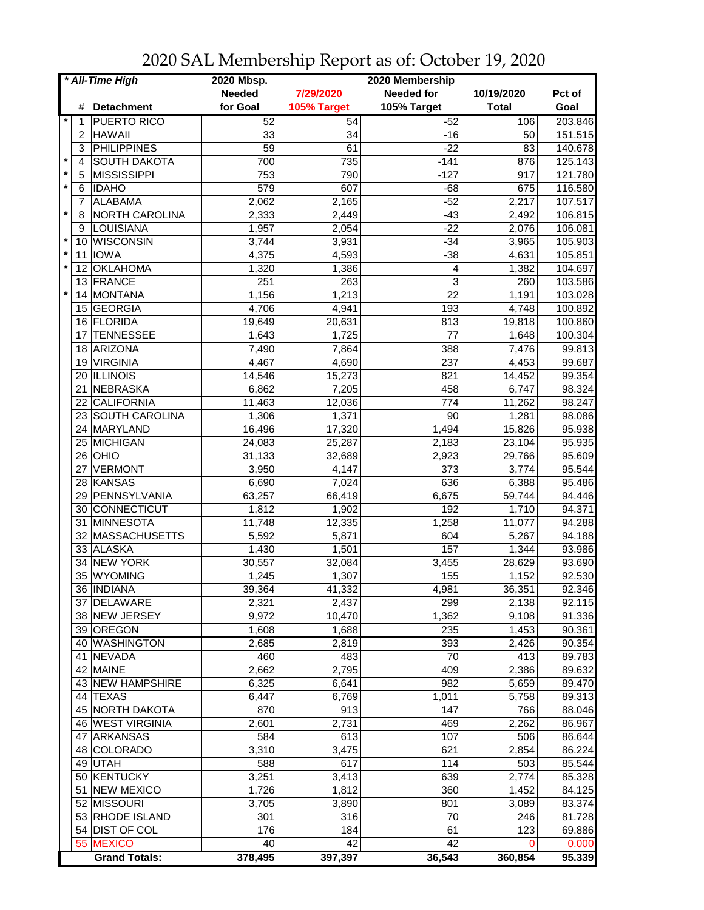| * All-Time High |     |                       | 2020 Mbsp.<br>2020 Membership |             |                   |              |                 |
|-----------------|-----|-----------------------|-------------------------------|-------------|-------------------|--------------|-----------------|
|                 |     |                       | <b>Needed</b>                 | 7/29/2020   | <b>Needed for</b> | 10/19/2020   | Pct of          |
|                 | #   | <b>Detachment</b>     | for Goal                      | 105% Target | 105% Target       | <b>Total</b> | Goal            |
| $^\star$        | 1   | <b>PUERTO RICO</b>    | 52                            | 54          | $-52$             | 106          | 203.846         |
|                 | 2   | <b>HAWAII</b>         | 33                            | 34          | $-16$             | 50           | 151.515         |
|                 | 3   | <b>PHILIPPINES</b>    | 59                            | 61          | $-22$             | 83           | 140.678         |
|                 | 4   | <b>SOUTH DAKOTA</b>   | 700                           | 735         | $-141$            | 876          | 125.143         |
|                 | 5   | MISSISSIPPI           | 753                           | 790         | $-127$            | 917          | 121.780         |
| $\star$         | 6   | <b>IDAHO</b>          | 579                           | 607         | $-68$             | 675          | 116.580         |
|                 |     | <b>ALABAMA</b>        |                               | 2,165       | $-52$             | 2,217        | 107.517         |
| $\star$         | 7   | <b>NORTH CAROLINA</b> | 2,062                         |             |                   |              |                 |
|                 | 8   |                       | 2,333                         | 2,449       | $-43$             | 2,492        | 106.815         |
| $\star$         | 9   | LOUISIANA             | 1,957                         | 2,054       | $-22$             | 2,076        | 106.081         |
| $\star$         | 10  | <b>WISCONSIN</b>      | 3,744                         | 3,931       | $-34$             | 3,965        | 105.903         |
|                 | 11  | <b>IOWA</b>           | 4,375                         | 4,593       | $-38$             | 4,631        | 105.851         |
| $\star$         | 12  | <b>OKLAHOMA</b>       | 1,320                         | 1,386       | 4                 | 1,382        | 104.697         |
|                 | 13. | FRANCE                | 251                           | 263         | 3                 | 260          | 103.586         |
| $\star$         | 14  | MONTANA               | 1,156                         | 1,213       | 22                | 1,191        | 103.028         |
|                 | 15  | <b>GEORGIA</b>        | 4,706                         | 4,941       | 193               | 4,748        | 100.892         |
|                 | 16  | FLORIDA               | 19,649                        | 20,631      | 813               | 19,818       | 100.860         |
|                 | 17  | <b>TENNESSEE</b>      | 1,643                         | 1,725       | 77                | 1,648        | 100.304         |
|                 | 18  | ARIZONA               | 7,490                         | 7,864       | 388               | 7,476        | 99.813          |
|                 | 19  | <b>VIRGINIA</b>       | 4,467                         | 4,690       | 237               | 4,453        | 99.687          |
|                 |     | 20 ILLINOIS           | 14,546                        | 15,273      | 821               | 14,452       | 99.354          |
|                 | 21  | NEBRASKA              | 6,862                         | 7,205       | 458               | 6,747        | 98.324          |
|                 | 22  | <b>CALIFORNIA</b>     | 11,463                        | 12,036      | 774               | 11,262       | 98.247          |
|                 |     | 23 SOUTH CAROLINA     | 1,306                         | 1,371       | $\overline{90}$   | 1,281        | 98.086          |
|                 |     | 24 MARYLAND           | 16,496                        | 17,320      | 1,494             | 15,826       | 95.938          |
|                 |     | 25 MICHIGAN           | 24,083                        | 25,287      | 2,183             | 23,104       | 95.935          |
|                 |     | $26$ OHIO             | 31,133                        | 32,689      | 2,923             | 29,766       | 95.609          |
|                 | 27  | <b>VERMONT</b>        | 3,950                         | 4,147       | 373               | 3,774        | 95.544          |
|                 | 28  | KANSAS                | 6,690                         | 7,024       | 636               | 6,388        | 95.486          |
|                 |     | 29 PENNSYLVANIA       | 63,257                        | 66,419      | 6,675             | 59,744       | 94.446          |
|                 |     | CONNECTICUT           |                               |             | 192               |              | 94.371          |
|                 | 30  |                       | 1,812                         | 1,902       |                   | 1,710        |                 |
|                 | 31  | MINNESOTA             | 11,748                        | 12,335      | 1,258             | 11,077       | 94.288          |
|                 | 32  | MASSACHUSETTS         | 5,592                         | 5,871       | 604               | 5,267        | 94.188          |
|                 | 33  | <b>ALASKA</b>         | 1,430                         | 1,501       | 157               | 1,344        | 93.986          |
|                 | 34  | <b>NEW YORK</b>       | 30,557                        | 32,084      | 3,455             | 28,629       | 93.690          |
|                 | 35  | <b>WYOMING</b>        | 1,245                         | 1,307       | 155               | 1,152        | 92.530          |
|                 |     | 36 INDIANA            | 39,364                        | 41,332      | 4,981             | 36,351       | 92.346          |
|                 |     | 37 DELAWARE           | 2,321                         | 2,437       | 299               | 2,138        | 92.115          |
|                 |     | 38 NEW JERSEY         | 9,972                         | 10,470      | 1,362             | 9,108        | 91.336          |
|                 |     | 39 OREGON             | 1,608                         | 1,688       | 235               | 1,453        | 90.361          |
|                 |     | 40 WASHINGTON         | 2,685                         | 2,819       | 393               | 2,426        | 90.354          |
|                 |     | 41 NEVADA             | 460                           | 483         | 70                | 413          | 89.783          |
|                 |     | 42 MAINE              | 2,662                         | 2,795       | 409               | 2,386        | 89.632          |
|                 |     | 43 NEW HAMPSHIRE      | 6,325                         | 6,641       | 982               | 5,659        | 89.470          |
|                 |     | 44 TEXAS              | 6,447                         | 6,769       | 1,011             | 5,758        | 89.313          |
|                 |     | 45 NORTH DAKOTA       | 870                           | 913         | 147               | 766          | 88.046          |
|                 |     | 46 WEST VIRGINIA      | 2,601                         | 2,731       | 469               | 2,262        | 86.967          |
|                 | 47  | ARKANSAS              | 584                           | 613         | 107               | 506          | 86.644          |
|                 | 48  | COLORADO              | 3,310                         | 3,475       | 621               | 2,854        | 86.224          |
|                 |     | 49 UTAH               | 588                           | 617         | 114               | 503          | 85.544          |
|                 |     | 50 KENTUCKY           | 3,251                         | 3,413       | 639               | 2,774        | 85.328          |
|                 | 51  | <b>NEW MEXICO</b>     | 1,726                         | 1,812       | 360               | 1,452        | 84.125          |
|                 |     | 52 MISSOURI           | 3,705                         | 3,890       | 801               | 3,089        | 83.374          |
|                 |     | 53 RHODE ISLAND       | 301                           | 316         | 70                | 246          | 81.728          |
|                 |     | 54 DIST OF COL        |                               |             | 61                |              |                 |
|                 |     | 55 MEXICO             | 176<br>40                     | 184<br>42   | $\overline{42}$   | 123<br>0     | 69.886          |
|                 |     | <b>Grand Totals:</b>  | 378,495                       | 397,397     | 36,543            | 360,854      | 0.000<br>95.339 |

2020 SAL Membership Report as of: October 19, 2020